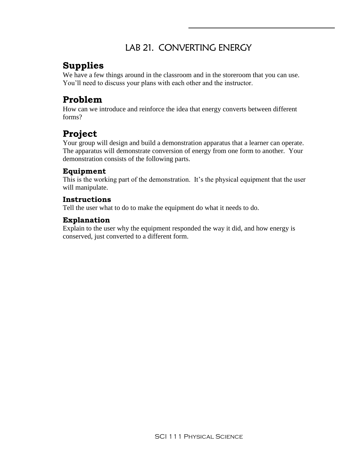## LAB 21. CONVERTING ENERGY

## **Supplies**

We have a few things around in the classroom and in the storeroom that you can use. You'll need to discuss your plans with each other and the instructor.

## **Problem**

How can we introduce and reinforce the idea that energy converts between different forms?

## **Project**

Your group will design and build a demonstration apparatus that a learner can operate. The apparatus will demonstrate conversion of energy from one form to another. Your demonstration consists of the following parts.

#### **Equipment**

This is the working part of the demonstration. It's the physical equipment that the user will manipulate.

#### **Instructions**

Tell the user what to do to make the equipment do what it needs to do.

#### **Explanation**

Explain to the user why the equipment responded the way it did, and how energy is conserved, just converted to a different form.